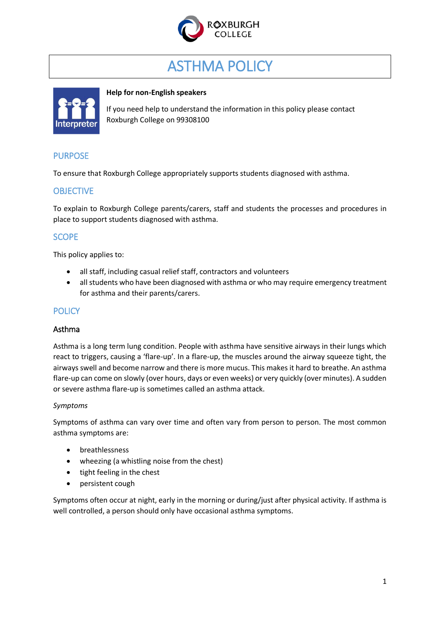

# ASTHMA POLICY



## **Help for non-English speakers**

If you need help to understand the information in this policy please contact Roxburgh College on 99308100

# PURPOSE

To ensure that Roxburgh College appropriately supports students diagnosed with asthma.

# **OBJECTIVE**

To explain to Roxburgh College parents/carers, staff and students the processes and procedures in place to support students diagnosed with asthma.

# **SCOPE**

This policy applies to:

- all staff, including casual relief staff, contractors and volunteers
- all students who have been diagnosed with asthma or who may require emergency treatment for asthma and their parents/carers.

# **POLICY**

## Asthma

Asthma is a long term lung condition. People with asthma have sensitive airways in their lungs which react to triggers, causing a 'flare-up'. In a flare-up, the muscles around the airway squeeze tight, the airways swell and become narrow and there is more mucus. This makes it hard to breathe. An asthma flare-up can come on slowly (over hours, days or even weeks) or very quickly (over minutes). A sudden or severe asthma flare-up is sometimes called an asthma attack.

## *Symptoms*

Symptoms of asthma can vary over time and often vary from person to person. The most common asthma symptoms are:

- breathlessness
- wheezing (a whistling noise from the chest)
- tight feeling in the chest
- persistent cough

Symptoms often occur at night, early in the morning or during/just after physical activity. If asthma is well controlled, a person should only have occasional asthma symptoms.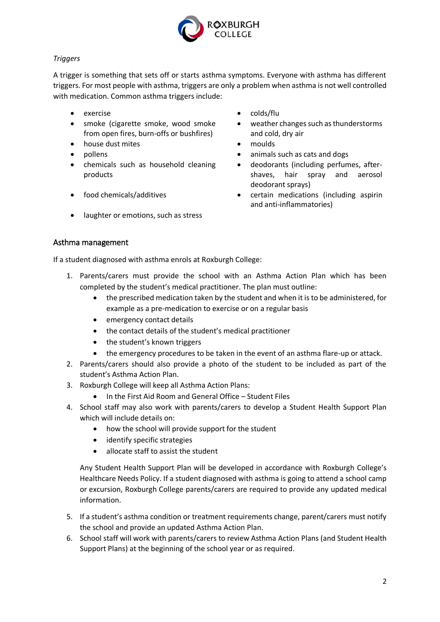

## *Triggers*

A trigger is something that sets off or starts asthma symptoms. Everyone with asthma has different triggers. For most people with asthma, triggers are only a problem when asthma is not well controlled with medication. Common asthma triggers include:

- 
- smoke (cigarette smoke, wood smoke from open fires, burn-offs or bushfires)
- house dust mites **and the set of the moulds** and moulds **moulds**
- 
- chemicals such as household cleaning products
- 
- laughter or emotions, such as stress
- exercise **colds/flu** 
	- weather changes such as thunderstorms and cold, dry air
	-
- pollens **by animals such as cats and dogs** animals such as cats and dogs
	- deodorants (including perfumes, aftershaves, hair spray and aerosol deodorant sprays)
- food chemicals/additives certain medications (including aspirin and anti-inflammatories)

## Asthma management

If a student diagnosed with asthma enrols at Roxburgh College:

- 1. Parents/carers must provide the school with an Asthma Action Plan which has been completed by the student's medical practitioner. The plan must outline:
	- the prescribed medication taken by the student and when it is to be administered, for example as a pre-medication to exercise or on a regular basis
	- emergency contact details
	- the contact details of the student's medical practitioner
	- the student's known triggers
	- the emergency procedures to be taken in the event of an asthma flare-up or attack.
- 2. Parents/carers should also provide a photo of the student to be included as part of the student's Asthma Action Plan.
- 3. Roxburgh College will keep all Asthma Action Plans:
	- In the First Aid Room and General Office Student Files
- 4. School staff may also work with parents/carers to develop a Student Health Support Plan which will include details on:
	- how the school will provide support for the student
	- identify specific strategies
	- allocate staff to assist the student

Any Student Health Support Plan will be developed in accordance with Roxburgh College's Healthcare Needs Policy. If a student diagnosed with asthma is going to attend a school camp or excursion, Roxburgh College parents/carers are required to provide any updated medical information.

- 5. If a student's asthma condition or treatment requirements change, parent/carers must notify the school and provide an updated Asthma Action Plan.
- 6. School staff will work with parents/carers to review Asthma Action Plans (and Student Health Support Plans) at the beginning of the school year or as required.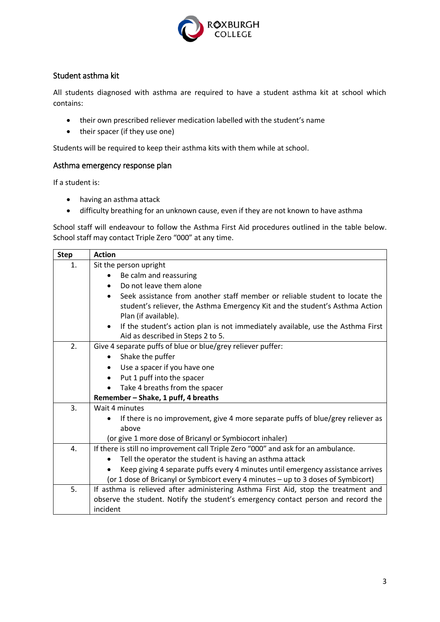

## Student asthma kit

All students diagnosed with asthma are required to have a student asthma kit at school which contains:

- their own prescribed reliever medication labelled with the student's name
- their spacer (if they use one)

Students will be required to keep their asthma kits with them while at school.

#### Asthma emergency response plan

If a student is:

- having an asthma attack
- difficulty breathing for an unknown cause, even if they are not known to have asthma

School staff will endeavour to follow the Asthma First Aid procedures outlined in the table below. School staff may contact Triple Zero "000" at any time.

| <b>Step</b> | <b>Action</b>                                                                                                                                                                                    |  |  |  |  |
|-------------|--------------------------------------------------------------------------------------------------------------------------------------------------------------------------------------------------|--|--|--|--|
| 1.          | Sit the person upright                                                                                                                                                                           |  |  |  |  |
|             | Be calm and reassuring                                                                                                                                                                           |  |  |  |  |
|             | Do not leave them alone<br>$\bullet$                                                                                                                                                             |  |  |  |  |
|             | Seek assistance from another staff member or reliable student to locate the<br>$\bullet$<br>student's reliever, the Asthma Emergency Kit and the student's Asthma Action<br>Plan (if available). |  |  |  |  |
|             | If the student's action plan is not immediately available, use the Asthma First<br>$\bullet$<br>Aid as described in Steps 2 to 5.                                                                |  |  |  |  |
| 2.          | Give 4 separate puffs of blue or blue/grey reliever puffer:                                                                                                                                      |  |  |  |  |
|             | Shake the puffer<br>$\bullet$                                                                                                                                                                    |  |  |  |  |
|             | Use a spacer if you have one                                                                                                                                                                     |  |  |  |  |
|             | Put 1 puff into the spacer<br>$\bullet$                                                                                                                                                          |  |  |  |  |
|             | Take 4 breaths from the spacer                                                                                                                                                                   |  |  |  |  |
|             | Remember - Shake, 1 puff, 4 breaths                                                                                                                                                              |  |  |  |  |
| 3.          | Wait 4 minutes                                                                                                                                                                                   |  |  |  |  |
|             | If there is no improvement, give 4 more separate puffs of blue/grey reliever as                                                                                                                  |  |  |  |  |
|             | above                                                                                                                                                                                            |  |  |  |  |
|             | (or give 1 more dose of Bricanyl or Symbiocort inhaler)                                                                                                                                          |  |  |  |  |
| 4.          | If there is still no improvement call Triple Zero "000" and ask for an ambulance.                                                                                                                |  |  |  |  |
|             | Tell the operator the student is having an asthma attack                                                                                                                                         |  |  |  |  |
|             | Keep giving 4 separate puffs every 4 minutes until emergency assistance arrives                                                                                                                  |  |  |  |  |
|             | (or 1 dose of Bricanyl or Symbicort every 4 minutes - up to 3 doses of Symbicort)                                                                                                                |  |  |  |  |
| 5.          | If asthma is relieved after administering Asthma First Aid, stop the treatment and                                                                                                               |  |  |  |  |
|             | observe the student. Notify the student's emergency contact person and record the                                                                                                                |  |  |  |  |
|             | incident                                                                                                                                                                                         |  |  |  |  |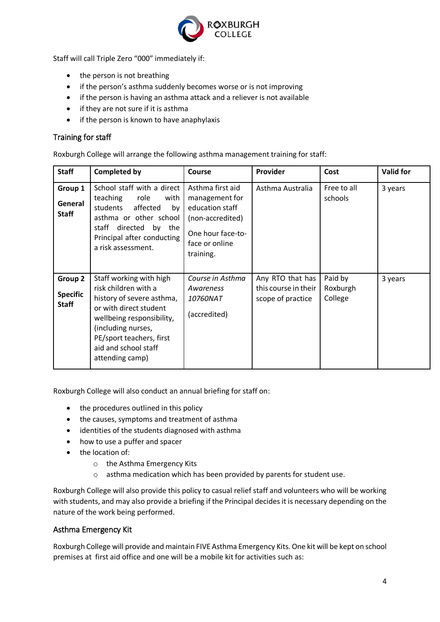

Staff will call Triple Zero "000" immediately if:

- the person is not breathing
- if the person's asthma suddenly becomes worse or is not improving
- if the person is having an asthma attack and a reliever is not available
- $\bullet$  if they are not sure if it is asthma
- if the person is known to have anaphylaxis

## Training for staff

Roxburgh College will arrange the following asthma management training for staff:

| <b>Staff</b>                               | <b>Completed by</b>                                                                                                                                                                                                              | <b>Course</b>                                                                                                                 | <b>Provider</b>                                               | Cost                           | <b>Valid for</b> |
|--------------------------------------------|----------------------------------------------------------------------------------------------------------------------------------------------------------------------------------------------------------------------------------|-------------------------------------------------------------------------------------------------------------------------------|---------------------------------------------------------------|--------------------------------|------------------|
| Group 1<br>General<br><b>Staff</b>         | School staff with a direct<br>teaching<br>role<br>with<br>students<br>affected<br>by<br>asthma or other school<br>staff<br>directed<br>by the<br>Principal after conducting<br>a risk assessment.                                | Asthma first aid<br>management for<br>education staff<br>(non-accredited)<br>One hour face-to-<br>face or online<br>training. | Asthma Australia                                              | Free to all<br>schools         | 3 years          |
| Group 2<br><b>Specific</b><br><b>Staff</b> | Staff working with high<br>risk children with a<br>history of severe asthma,<br>or with direct student<br>wellbeing responsibility,<br>(including nurses,<br>PE/sport teachers, first<br>aid and school staff<br>attending camp) | Course in Asthma<br>Awareness<br><i>10760NAT</i><br>(accredited)                                                              | Any RTO that has<br>this course in their<br>scope of practice | Paid by<br>Roxburgh<br>College | 3 years          |

Roxburgh College will also conduct an annual briefing for staff on:

- the procedures outlined in this policy
- the causes, symptoms and treatment of asthma
- identities of the students diagnosed with asthma
- how to use a puffer and spacer
- the location of:
	- o the Asthma Emergency Kits
	- o asthma medication which has been provided by parents for student use.

Roxburgh College will also provide this policy to casual relief staff and volunteers who will be working with students, and may also provide a briefing if the Principal decides it is necessary depending on the nature of the work being performed.

# Asthma Emergency Kit

Roxburgh College will provide and maintain FIVE Asthma Emergency Kits. One kit will be kept on school premises at first aid office and one will be a mobile kit for activities such as: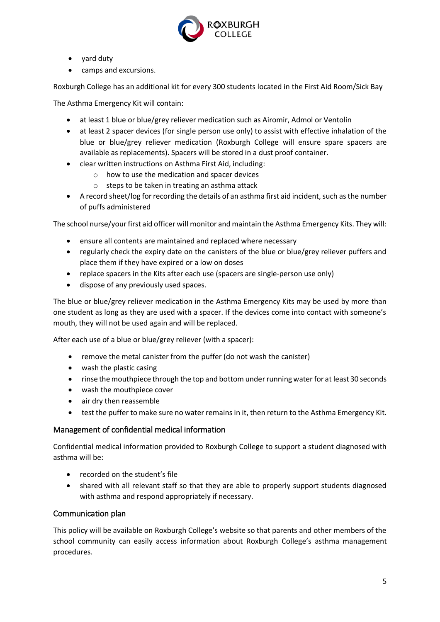

- yard duty
- camps and excursions.

Roxburgh College has an additional kit for every 300 students located in the First Aid Room/Sick Bay

The Asthma Emergency Kit will contain:

- at least 1 blue or blue/grey reliever medication such as Airomir, Admol or Ventolin
- at least 2 spacer devices (for single person use only) to assist with effective inhalation of the blue or blue/grey reliever medication (Roxburgh College will ensure spare spacers are available as replacements). Spacers will be stored in a dust proof container.
- clear written instructions on Asthma First Aid, including:
	- o how to use the medication and spacer devices
	- o steps to be taken in treating an asthma attack
- A record sheet/log for recording the details of an asthma first aid incident, such as the number of puffs administered

The school nurse/your first aid officer will monitor and maintain the Asthma Emergency Kits. They will:

- ensure all contents are maintained and replaced where necessary
- regularly check the expiry date on the canisters of the blue or blue/grey reliever puffers and place them if they have expired or a low on doses
- replace spacers in the Kits after each use (spacers are single-person use only)
- dispose of any previously used spaces.

The blue or blue/grey reliever medication in the Asthma Emergency Kits may be used by more than one student as long as they are used with a spacer. If the devices come into contact with someone's mouth, they will not be used again and will be replaced.

After each use of a blue or blue/grey reliever (with a spacer):

- remove the metal canister from the puffer (do not wash the canister)
- wash the plastic casing
- rinse the mouthpiece through the top and bottom under running water for at least 30 seconds
- wash the mouthpiece cover
- air dry then reassemble
- test the puffer to make sure no water remains in it, then return to the Asthma Emergency Kit.

## Management of confidential medical information

Confidential medical information provided to Roxburgh College to support a student diagnosed with asthma will be:

- recorded on the student's file
- shared with all relevant staff so that they are able to properly support students diagnosed with asthma and respond appropriately if necessary.

## Communication plan

This policy will be available on Roxburgh College's website so that parents and other members of the school community can easily access information about Roxburgh College's asthma management procedures.